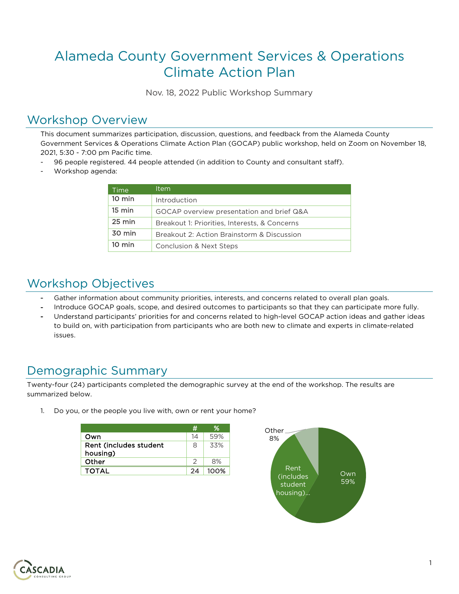# Alameda County Government Services & Operations Climate Action Plan

Nov. 18, 2022 Public Workshop Summary

# Workshop Overview

This document summarizes participation, discussion, questions, and feedback from the Alameda County Government Services & Operations Climate Action Plan (GOCAP) public workshop, held on Zoom on November 18, 2021, 5:30 - 7:00 pm Pacific time.

- 96 people registered. 44 people attended (in addition to County and consultant staff).
- Workshop agenda:

| Time             | ltem                                          |  |
|------------------|-----------------------------------------------|--|
| $10 \text{ min}$ | Introduction                                  |  |
| $15 \text{ min}$ | GOCAP overview presentation and brief Q&A     |  |
| $25 \text{ min}$ | Breakout 1: Priorities, Interests, & Concerns |  |
| 30 min           | Breakout 2: Action Brainstorm & Discussion    |  |
| $10 \text{ min}$ | Conclusion & Next Steps                       |  |

# Workshop Objectives

- Gather information about community priorities, interests, and concerns related to overall plan goals.
- Introduce GOCAP goals, scope, and desired outcomes to participants so that they can participate more fully.
- Understand participants' priorities for and concerns related to high-level GOCAP action ideas and gather ideas to build on, with participation from participants who are both new to climate and experts in climate-related issues.

# Demographic Summary

Twenty-four (24) participants completed the demographic survey at the end of the workshop. The results are summarized below.

1. Do you, or the people you live with, own or rent your home?

|                        | #         | %    | Other        |     |
|------------------------|-----------|------|--------------|-----|
| Own                    | 14        | 59%  | 8%           |     |
| Rent (includes student | 8         | 33%  |              |     |
| housing)               |           |      |              |     |
| Other                  |           | 8%   |              |     |
| <b>TOTAL</b>           | $2\Delta$ | 100% | Rent<br>line | Own |
|                        |           |      |              |     |



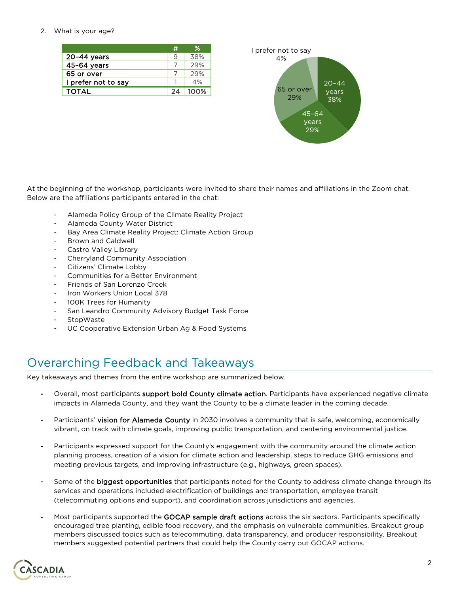#### 2. What is your age?

|                     |    | ℅    |
|---------------------|----|------|
| $20-44$ years       | Q  | 38%  |
| 45-64 vears         |    | 29%  |
| 65 or over          |    | 29%  |
| I prefer not to say |    | 4%   |
| <b>TOTAL</b>        | 24 | 100% |



At the beginning of the workshop, participants were invited to share their names and affiliations in the Zoom chat. Below are the affiliations participants entered in the chat:

- Alameda Policy Group of the Climate Reality Project
- Alameda County Water District
- Bay Area Climate Reality Project: Climate Action Group
- Brown and Caldwell
- Castro Valley Library
- Cherryland Community Association
- Citizens' Climate Lobby
- Communities for a Better Environment
- Friends of San Lorenzo Creek
- Iron Workers Union Local 378
- 100K Trees for Humanity
- San Leandro Community Advisory Budget Task Force
- StopWaste
- UC Cooperative Extension Urban Ag & Food Systems

# Overarching Feedback and Takeaways

Key takeaways and themes from the entire workshop are summarized below.

- Overall, most participants support bold County climate action. Participants have experienced negative climate impacts in Alameda County, and they want the County to be a climate leader in the coming decade.
- Participants' vision for Alameda County in 2030 involves a community that is safe, welcoming, economically vibrant, on track with climate goals, improving public transportation, and centering environmental justice.
- Participants expressed support for the County's engagement with the community around the climate action planning process, creation of a vision for climate action and leadership, steps to reduce GHG emissions and meeting previous targets, and improving infrastructure (e.g., highways, green spaces).
- Some of the biggest opportunities that participants noted for the County to address climate change through its services and operations included electrification of buildings and transportation, employee transit (telecommuting options and support), and coordination across jurisdictions and agencies.
- Most participants supported the GOCAP sample draft actions across the six sectors. Participants specifically encouraged tree planting, edible food recovery, and the emphasis on vulnerable communities. Breakout group members discussed topics such as telecommuting, data transparency, and producer responsibility. Breakout members suggested potential partners that could help the County carry out GOCAP actions.

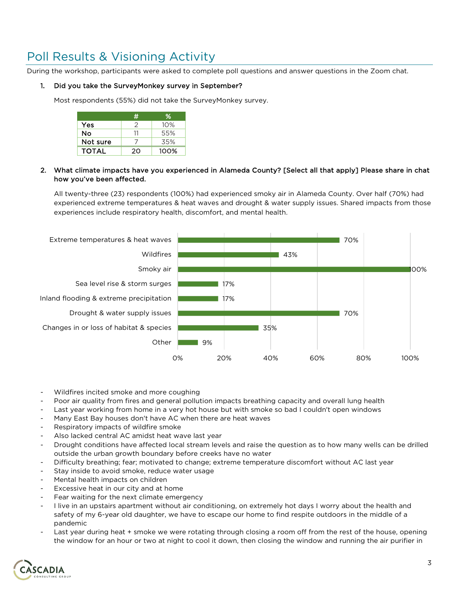# Poll Results & Visioning Activity

During the workshop, participants were asked to complete poll questions and answer questions in the Zoom chat.

#### 1. Did you take the SurveyMonkey survey in September?

Most respondents (55%) did not take the SurveyMonkey survey.

|              |    | ℅    |
|--------------|----|------|
| Yes          |    | 10%  |
| No           |    | 55%  |
| Not sure     |    | 35%  |
| <b>TOTAL</b> | 20 | 100% |

#### 2. What climate impacts have you experienced in Alameda County? [Select all that apply] Please share in chat how you've been affected.

All twenty-three (23) respondents (100%) had experienced smoky air in Alameda County. Over half (70%) had experienced extreme temperatures & heat waves and drought & water supply issues. Shared impacts from those experiences include respiratory health, discomfort, and mental health.



- Wildfires incited smoke and more coughing
- Poor air quality from fires and general pollution impacts breathing capacity and overall lung health
- Last year working from home in a very hot house but with smoke so bad I couldn't open windows
- Many East Bay houses don't have AC when there are heat waves
- Respiratory impacts of wildfire smoke
- Also lacked central AC amidst heat wave last year
- Drought conditions have affected local stream levels and raise the question as to how many wells can be drilled outside the urban growth boundary before creeks have no water
- Difficulty breathing; fear; motivated to change; extreme temperature discomfort without AC last year
- Stay inside to avoid smoke, reduce water usage
- Mental health impacts on children
- Excessive heat in our city and at home
- Fear waiting for the next climate emergency
- I live in an upstairs apartment without air conditioning, on extremely hot days I worry about the health and safety of my 6-year old daughter, we have to escape our home to find respite outdoors in the middle of a pandemic
- Last year during heat + smoke we were rotating through closing a room off from the rest of the house, opening the window for an hour or two at night to cool it down, then closing the window and running the air purifier in

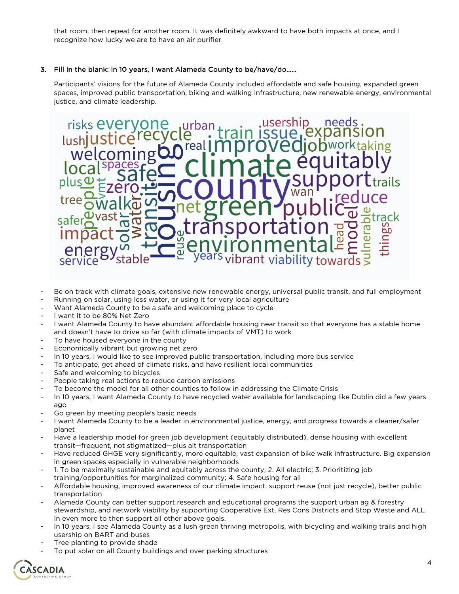that room, then repeat for another room. It was definitely awkward to have both impacts at once, and I recognize how lucky we are to have an air purifier

#### 3. Fill in the blank: in 10 years, I want Alameda County to be/have/do……

Participants' visions for the future of Alameda County included affordable and safe housing, expanded green spaces, improved public transportation, biking and walking infrastructure, new renewable energy, environmental justice, and climate leadership.



- Be on track with climate goals, extensive new renewable energy, universal public transit, and full employment
- Running on solar, using less water, or using it for very local agriculture
- Want Alameda County to be a safe and welcoming place to cycle
- I want it to be 80% Net Zero
- I want Alameda County to have abundant affordable housing near transit so that everyone has a stable home and doesn't have to drive so far (with climate impacts of VMT) to work
- To have housed everyone in the county
- Economically vibrant but growing net zero
- In 10 years, I would like to see improved public transportation, including more bus service
- To anticipate, get ahead of climate risks, and have resilient local communities
- Safe and welcoming to bicycles
- People taking real actions to reduce carbon emissions
- To become the model for all other counties to follow in addressing the Climate Crisis
- In 10 years, I want Alameda County to have recycled water available for landscaping like Dublin did a few years ago
- Go green by meeting people's basic needs
- I want Alameda County to be a leader in environmental justice, energy, and progress towards a cleaner/safer planet
- Have a leadership model for green job development (equitably distributed), dense housing with excellent transit—frequent, not stigmatized—plus alt transportation
- Have reduced GHGE very significantly, more equitable, vast expansion of bike walk infrastructure. Big expansion in green spaces especially in vulnerable neighborhoods
- 1. To be maximally sustainable and equitably across the county; 2. All electric; 3. Prioritizing job training/opportunities for marginalized community; 4. Safe housing for all
- Affordable housing, improved awareness of our climate impact, support reuse (not just recycle), better public transportation
- Alameda County can better support research and educational programs the support urban ag & forestry stewardship, and network viability by supporting Cooperative Ext, Res Cons Districts and Stop Waste and ALL In even more to then support all other above goals.
- In 10 years, I see Alameda County as a lush green thriving metropolis, with bicycling and walking trails and high usership on BART and buses
- Tree planting to provide shade
- To put solar on all County buildings and over parking structures

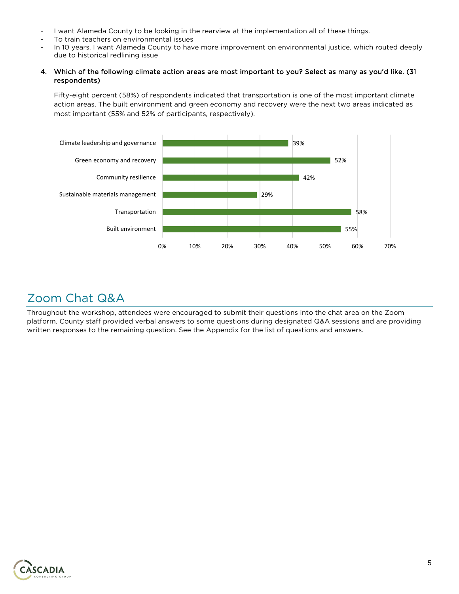- I want Alameda County to be looking in the rearview at the implementation all of these things.
- To train teachers on environmental issues
- In 10 years, I want Alameda County to have more improvement on environmental justice, which routed deeply due to historical redlining issue

#### 4. Which of the following climate action areas are most important to you? Select as many as you'd like. (31 respondents)

Fifty-eight percent (58%) of respondents indicated that transportation is one of the most important climate action areas. The built environment and green economy and recovery were the next two areas indicated as most important (55% and 52% of participants, respectively).



## Zoom Chat Q&A

Throughout the workshop, attendees were encouraged to submit their questions into the chat area on the Zoom platform. County staff provided verbal answers to some questions during designated Q&A sessions and are providing written responses to the remaining question. See the Appendix for the list of questions and answers.

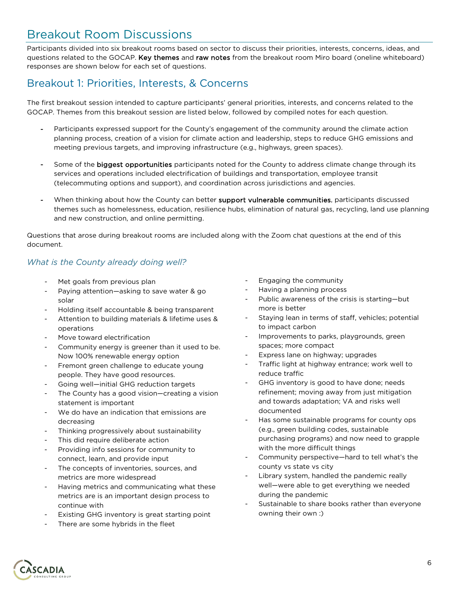# Breakout Room Discussions

Participants divided into six breakout rooms based on sector to discuss their priorities, interests, concerns, ideas, and questions related to the GOCAP. Key themes and raw notes from the breakout room Miro board (oneline whiteboard) responses are shown below for each set of questions.

## Breakout 1: Priorities, Interests, & Concerns

The first breakout session intended to capture participants' general priorities, interests, and concerns related to the GOCAP. Themes from this breakout session are listed below, followed by compiled notes for each question.

- Participants expressed support for the County's engagement of the community around the climate action planning process, creation of a vision for climate action and leadership, steps to reduce GHG emissions and meeting previous targets, and improving infrastructure (e.g., highways, green spaces).
- Some of the biggest opportunities participants noted for the County to address climate change through its services and operations included electrification of buildings and transportation, employee transit (telecommuting options and support), and coordination across jurisdictions and agencies.
- When thinking about how the County can better support vulnerable communities, participants discussed themes such as homelessness, education, resilience hubs, elimination of natural gas, recycling, land use planning and new construction, and online permitting.

Questions that arose during breakout rooms are included along with the Zoom chat questions at the end of this document.

### *What is the County already doing well?*

- Met goals from previous plan
- Paying attention—asking to save water & go solar
- Holding itself accountable & being transparent
- Attention to building materials & lifetime uses & operations
- Move toward electrification
- Community energy is greener than it used to be. Now 100% renewable energy option
- Fremont green challenge to educate young people. They have good resources.
- Going well-initial GHG reduction targets
- The County has a good vision—creating a vision statement is important
- We do have an indication that emissions are decreasing
- Thinking progressively about sustainability
- This did require deliberate action
- Providing info sessions for community to connect, learn, and provide input
- The concepts of inventories, sources, and metrics are more widespread
- Having metrics and communicating what these metrics are is an important design process to continue with
- Existing GHG inventory is great starting point
- There are some hybrids in the fleet
- Engaging the community
- Having a planning process
- Public awareness of the crisis is starting-but more is better
- Staying lean in terms of staff, vehicles; potential to impact carbon
- Improvements to parks, playgrounds, green spaces; more compact
- Express lane on highway; upgrades
- Traffic light at highway entrance; work well to reduce traffic
- GHG inventory is good to have done; needs refinement; moving away from just mitigation and towards adaptation; VA and risks well documented
- Has some sustainable programs for county ops (e.g., green building codes, sustainable purchasing programs) and now need to grapple with the more difficult things
- Community perspective—hard to tell what's the county vs state vs city
- Library system, handled the pandemic really well—were able to get everything we needed during the pandemic
- Sustainable to share books rather than everyone owning their own :)

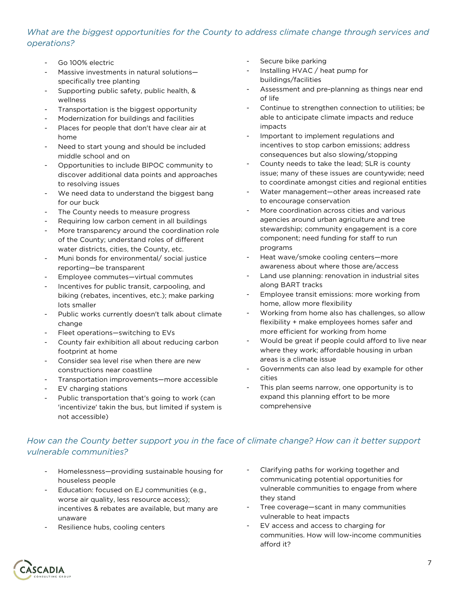### *What are the biggest opportunities for the County to address climate change through services and operations?*

- Go 100% electric
- Massive investments in natural solutionsspecifically tree planting
- Supporting public safety, public health, & wellness
- Transportation is the biggest opportunity
- Modernization for buildings and facilities
- Places for people that don't have clear air at home
- Need to start young and should be included middle school and on
- Opportunities to include BIPOC community to discover additional data points and approaches to resolving issues
- We need data to understand the biggest bang for our buck
- The County needs to measure progress
- Requiring low carbon cement in all buildings
- More transparency around the coordination role of the County; understand roles of different water districts, cities, the County, etc.
- Muni bonds for environmental/ social justice reporting—be transparent
- Employee commutes-virtual commutes
- Incentives for public transit, carpooling, and biking (rebates, incentives, etc.); make parking lots smaller
- Public works currently doesn't talk about climate change
- Fleet operations—switching to EVs
- County fair exhibition all about reducing carbon footprint at home
- Consider sea level rise when there are new constructions near coastline
- Transportation improvements—more accessible
- EV charging stations
- Public transportation that's going to work (can 'incentivize' takin the bus, but limited if system is not accessible)
- Secure bike parking
- Installing HVAC / heat pump for buildings/facilities
- Assessment and pre-planning as things near end of life
- Continue to strengthen connection to utilities; be able to anticipate climate impacts and reduce impacts
- Important to implement regulations and incentives to stop carbon emissions; address consequences but also slowing/stopping
- County needs to take the lead; SLR is county issue; many of these issues are countywide; need to coordinate amongst cities and regional entities
- Water management—other areas increased rate to encourage conservation
- More coordination across cities and various agencies around urban agriculture and tree stewardship; community engagement is a core component; need funding for staff to run programs
- Heat wave/smoke cooling centers-more awareness about where those are/access
- Land use planning: renovation in industrial sites along BART tracks
- Employee transit emissions: more working from home, allow more flexibility
- Working from home also has challenges, so allow flexibility + make employees homes safer and more efficient for working from home
- Would be great if people could afford to live near where they work; affordable housing in urban areas is a climate issue
- Governments can also lead by example for other cities
- This plan seems narrow, one opportunity is to expand this planning effort to be more comprehensive

## *How can the County better support you in the face of climate change? How can it better support vulnerable communities?*

- Homelessness-providing sustainable housing for houseless people
- Education: focused on EJ communities (e.g., worse air quality, less resource access); incentives & rebates are available, but many are unaware
- Resilience hubs, cooling centers
- Clarifying paths for working together and communicating potential opportunities for vulnerable communities to engage from where they stand
- Tree coverage—scant in many communities vulnerable to heat impacts
- EV access and access to charging for communities. How will low-income communities afford it?

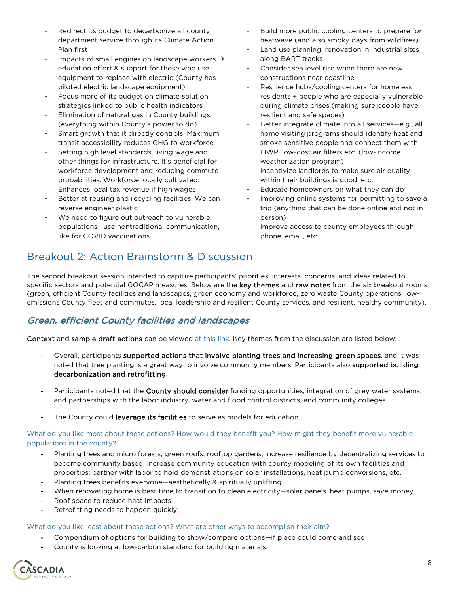- Redirect its budget to decarbonize all county department service through its Climate Action Plan first
- Impacts of small engines on landscape workers  $\rightarrow$ education effort & support for those who use equipment to replace with electric (County has piloted electric landscape equipment)
- Focus more of its budget on climate solution strategies linked to public health indicators
- Elimination of natural gas in County buildings (everything within County's power to do)
- Smart growth that it directly controls. Maximum transit accessibility reduces GHG to workforce
- Setting high level standards, living wage and other things for infrastructure. It's beneficial for workforce development and reducing commute probabilities. Workforce locally cultivated. Enhances local tax revenue if high wages
- Better at reusing and recycling facilities. We can reverse engineer plastic
- We need to figure out outreach to vulnerable populations—use nontraditional communication, like for COVID vaccinations
- Build more public cooling centers to prepare for heatwave (and also smoky days from wildfires)
- Land use planning: renovation in industrial sites along BART tracks
- Consider sea level rise when there are new constructions near coastline
- Resilience hubs/cooling centers for homeless residents + people who are especially vulnerable during climate crises (making sure people have resilient and safe spaces)
- Better integrate climate into all services-e.g., all home visiting programs should identify heat and smoke sensitive people and connect them with LIWP, low-cost air filters etc. (low-income weatherization program)
- Incentivize landlords to make sure air quality within their buildings is good, etc.
- Educate homeowners on what they can do
- Improving online systems for permitting to save a trip (anything that can be done online and not in person)
- Improve access to county employees through phone, email, etc.

## Breakout 2: Action Brainstorm & Discussion

The second breakout session intended to capture participants' priorities, interests, concerns, and ideas related to specific sectors and potential GOCAP measures. Below are the key themes and raw notes from the six breakout rooms (green, efficient County facilities and landscapes, green economy and workforce, zero waste County operations, lowemissions County fleet and commutes, local leadership and resilient County services, and resilient, healthy community).

## Green, efficient County facilities and landscapes

Context and sample draft actions can be viewed [at this link.](https://miro.com/app/board/o9J_likOKM8=/) Key themes from the discussion are listed below:

- Overall, participants supported actions that involve planting trees and increasing green spaces, and it was noted that tree planting is a great way to involve community members. Participants also supported building decarbonization and retrofitting.
- Participants noted that the County should consider funding opportunities, integration of grey water systems, and partnerships with the labor industry, water and flood control districts, and community colleges.
- The County could leverage its facilities to serve as models for education.

What do you like most about these actions? How would they benefit you? How might they benefit more vulnerable populations in the county?

- Planting trees and micro forests, green roofs, rooftop gardens, increase resilience by decentralizing services to become community based; increase community education with county modeling of its own facilities and properties; partner with labor to hold demonstrations on solar installations, heat pump conversions, etc.
- Planting trees benefits everyone—aesthetically & spiritually uplifting
- When renovating home is best time to transition to clean electricity—solar panels, heat pumps, save money
- Roof space to reduce heat impacts
- Retrofitting needs to happen quickly

- Compendium of options for building to show/compare options—if place could come and see
- County is looking at low-carbon standard for building materials

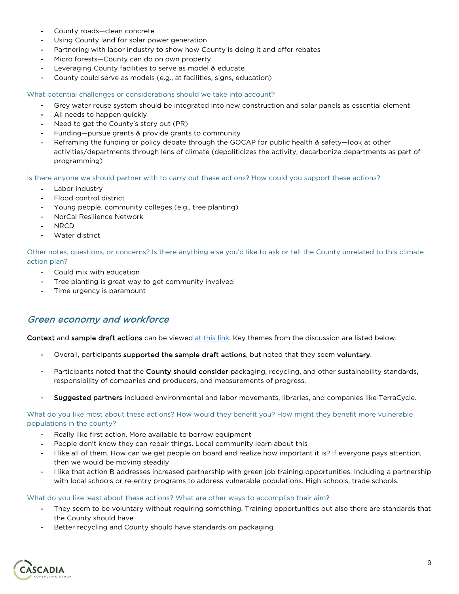- County roads-clean concrete
- Using County land for solar power generation
- Partnering with labor industry to show how County is doing it and offer rebates
- Micro forests—County can do on own property
- Leveraging County facilities to serve as model & educate
- County could serve as models (e.g., at facilities, signs, education)

- Grey water reuse system should be integrated into new construction and solar panels as essential element
- All needs to happen quickly
- Need to get the County's story out (PR)
- Funding—pursue grants & provide grants to community
- Reframing the funding or policy debate through the GOCAP for public health & safety-look at other activities/departments through lens of climate (depoliticizes the activity, decarbonize departments as part of programming)

#### Is there anyone we should partner with to carry out these actions? How could you support these actions?

- Labor industry
- Flood control district
- Young people, community colleges (e.g., tree planting)
- NorCal Resilience Network
- NRCD
- Water district

Other notes, questions, or concerns? Is there anything else you'd like to ask or tell the County unrelated to this climate action plan?

- Could mix with education
- Tree planting is great way to get community involved
- Time urgency is paramount

### Green economy and workforce

Context and sample draft actions can be viewed [at this link.](https://miro.com/app/board/o9J_likRrUQ=/) Key themes from the discussion are listed below:

- Overall, participants supported the sample draft actions, but noted that they seem voluntary.
- Participants noted that the County should consider packaging, recycling, and other sustainability standards, responsibility of companies and producers, and measurements of progress.
- Suggested partners included environmental and labor movements, libraries, and companies like TerraCycle.

What do you like most about these actions? How would they benefit you? How might they benefit more vulnerable populations in the county?

- Really like first action. More available to borrow equipment
- People don't know they can repair things. Local community learn about this
- I like all of them. How can we get people on board and realize how important it is? If everyone pays attention, then we would be moving steadily
- I like that action B addresses increased partnership with green job training opportunities. Including a partnership with local schools or re-entry programs to address vulnerable populations. High schools, trade schools.

- They seem to be voluntary without requiring something. Training opportunities but also there are standards that the County should have
- Better recycling and County should have standards on packaging

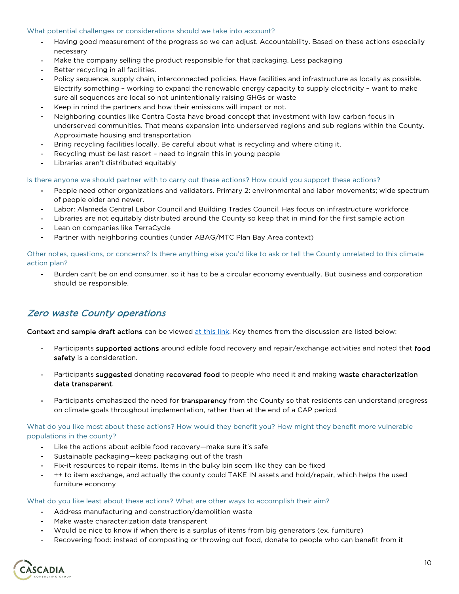- Having good measurement of the progress so we can adjust. Accountability. Based on these actions especially necessary
- Make the company selling the product responsible for that packaging. Less packaging
- Better recycling in all facilities.
- Policy sequence, supply chain, interconnected policies. Have facilities and infrastructure as locally as possible. Electrify something – working to expand the renewable energy capacity to supply electricity – want to make sure all sequences are local so not unintentionally raising GHGs or waste
- Keep in mind the partners and how their emissions will impact or not.
- Neighboring counties like Contra Costa have broad concept that investment with low carbon focus in underserved communities. That means expansion into underserved regions and sub regions within the County. Approximate housing and transportation
- Bring recycling facilities locally. Be careful about what is recycling and where citing it.
- Recycling must be last resort need to ingrain this in young people
- Libraries aren't distributed equitably

#### Is there anyone we should partner with to carry out these actions? How could you support these actions?

- People need other organizations and validators. Primary 2: environmental and labor movements; wide spectrum of people older and newer.
- Labor: Alameda Central Labor Council and Building Trades Council. Has focus on infrastructure workforce
- Libraries are not equitably distributed around the County so keep that in mind for the first sample action
- Lean on companies like TerraCycle
- Partner with neighboring counties (under ABAG/MTC Plan Bay Area context)

Other notes, questions, or concerns? Is there anything else you'd like to ask or tell the County unrelated to this climate action plan?

- Burden can't be on end consumer, so it has to be a circular economy eventually. But business and corporation should be responsible.

### Zero waste County operations

Context and sample draft actions can be viewed [at this link.](https://miro.com/app/board/o9J_lirhMN8=/) Key themes from the discussion are listed below:

- Participants supported actions around edible food recovery and repair/exchange activities and noted that food safety is a consideration.
- Participants suggested donating recovered food to people who need it and making waste characterization data transparent.
- Participants emphasized the need for transparency from the County so that residents can understand progress on climate goals throughout implementation, rather than at the end of a CAP period.

What do you like most about these actions? How would they benefit you? How might they benefit more vulnerable populations in the county?

- Like the actions about edible food recovery—make sure it's safe
- Sustainable packaging—keep packaging out of the trash
- Fix-it resources to repair items. Items in the bulky bin seem like they can be fixed
- ++ to item exchange, and actually the county could TAKE IN assets and hold/repair, which helps the used furniture economy

- Address manufacturing and construction/demolition waste
- Make waste characterization data transparent
- Would be nice to know if when there is a surplus of items from big generators (ex. furniture)
- Recovering food: instead of composting or throwing out food, donate to people who can benefit from it

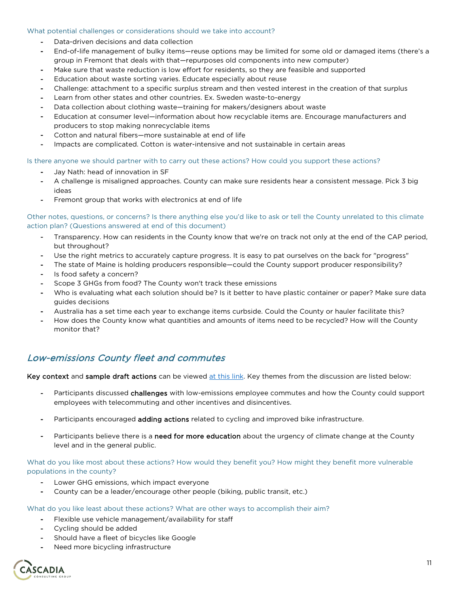- Data-driven decisions and data collection
- End-of-life management of bulky items—reuse options may be limited for some old or damaged items (there's a group in Fremont that deals with that—repurposes old components into new computer)
- Make sure that waste reduction is low effort for residents, so they are feasible and supported
- Education about waste sorting varies. Educate especially about reuse
- Challenge: attachment to a specific surplus stream and then vested interest in the creation of that surplus
- Learn from other states and other countries. Ex. Sweden waste-to-energy
- Data collection about clothing waste—training for makers/designers about waste
- Education at consumer level—information about how recyclable items are. Encourage manufacturers and producers to stop making nonrecyclable items
- Cotton and natural fibers—more sustainable at end of life
- Impacts are complicated. Cotton is water-intensive and not sustainable in certain areas

#### Is there anyone we should partner with to carry out these actions? How could you support these actions?

- Jay Nath: head of innovation in SF
- A challenge is misaligned approaches. County can make sure residents hear a consistent message. Pick 3 big ideas
- Fremont group that works with electronics at end of life

#### Other notes, questions, or concerns? Is there anything else you'd like to ask or tell the County unrelated to this climate action plan? (Questions answered at end of this document)

- Transparency. How can residents in the County know that we're on track not only at the end of the CAP period, but throughout?
- Use the right metrics to accurately capture progress. It is easy to pat ourselves on the back for "progress"
- The state of Maine is holding producers responsible—could the County support producer responsibility?
- Is food safety a concern?
- Scope 3 GHGs from food? The County won't track these emissions
- Who is evaluating what each solution should be? Is it better to have plastic container or paper? Make sure data guides decisions
- Australia has a set time each year to exchange items curbside. Could the County or hauler facilitate this?
- How does the County know what quantities and amounts of items need to be recycled? How will the County monitor that?

### Low-emissions County fleet and commutes

Key context and sample draft actions can be viewed [at this link.](https://miro.com/app/board/o9J_lmHmbh0=/) Key themes from the discussion are listed below:

- Participants discussed challenges with low-emissions employee commutes and how the County could support employees with telecommuting and other incentives and disincentives.
- Participants encouraged **adding actions** related to cycling and improved bike infrastructure.
- Participants believe there is a need for more education about the urgency of climate change at the County level and in the general public.

#### What do you like most about these actions? How would they benefit you? How might they benefit more vulnerable populations in the county?

- Lower GHG emissions, which impact everyone
- County can be a leader/encourage other people (biking, public transit, etc.)

- Flexible use vehicle management/availability for staff
- Cycling should be added
- Should have a fleet of bicycles like Google
- Need more bicycling infrastructure

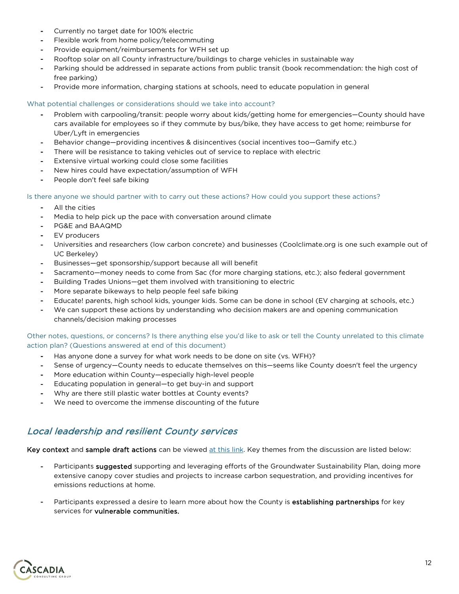- Currently no target date for 100% electric
- Flexible work from home policy/telecommuting
- Provide equipment/reimbursements for WFH set up
- Rooftop solar on all County infrastructure/buildings to charge vehicles in sustainable way
- Parking should be addressed in separate actions from public transit (book recommendation: the high cost of free parking)
- Provide more information, charging stations at schools, need to educate population in general

- Problem with carpooling/transit: people worry about kids/getting home for emergencies—County should have cars available for employees so if they commute by bus/bike, they have access to get home; reimburse for Uber/Lyft in emergencies
- Behavior change—providing incentives & disincentives (social incentives too—Gamify etc.)
- There will be resistance to taking vehicles out of service to replace with electric
- Extensive virtual working could close some facilities
- New hires could have expectation/assumption of WFH
- People don't feel safe biking

### Is there anyone we should partner with to carry out these actions? How could you support these actions?

- All the cities
- Media to help pick up the pace with conversation around climate
- PG&E and BAAQMD
- EV producers
- Universities and researchers (low carbon concrete) and businesses (Coolclimate.org is one such example out of UC Berkeley)
- Businesses-get sponsorship/support because all will benefit
- Sacramento—money needs to come from Sac (for more charging stations, etc.); also federal government
- Building Trades Unions-get them involved with transitioning to electric
- More separate bikeways to help people feel safe biking
- Educate! parents, high school kids, younger kids. Some can be done in school (EV charging at schools, etc.)
- We can support these actions by understanding who decision makers are and opening communication channels/decision making processes

#### Other notes, questions, or concerns? Is there anything else you'd like to ask or tell the County unrelated to this climate action plan? (Questions answered at end of this document)

- Has anyone done a survey for what work needs to be done on site (vs. WFH)?
- Sense of urgency—County needs to educate themselves on this—seems like County doesn't feel the urgency
- More education within County-especially high-level people
- Educating population in general—to get buy-in and support
- Why are there still plastic water bottles at County events?
- We need to overcome the immense discounting of the future

## Local leadership and resilient County services

Key context and sample draft actions can be viewed [at this link.](https://miro.com/app/board/o9J_likbtmU=/) Key themes from the discussion are listed below:

- Participants suggested supporting and leveraging efforts of the Groundwater Sustainability Plan, doing more extensive canopy cover studies and projects to increase carbon sequestration, and providing incentives for emissions reductions at home.
- Participants expressed a desire to learn more about how the County is establishing partnerships for key services for vulnerable communities.

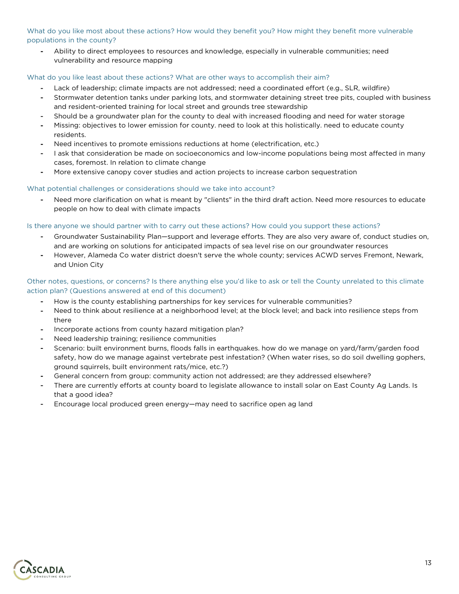What do you like most about these actions? How would they benefit you? How might they benefit more vulnerable populations in the county?

- Ability to direct employees to resources and knowledge, especially in vulnerable communities; need vulnerability and resource mapping

#### What do you like least about these actions? What are other ways to accomplish their aim?

- Lack of leadership; climate impacts are not addressed; need a coordinated effort (e.g., SLR, wildfire)
- Stormwater detention tanks under parking lots, and stormwater detaining street tree pits, coupled with business and resident-oriented training for local street and grounds tree stewardship
- Should be a groundwater plan for the county to deal with increased flooding and need for water storage
- Missing: objectives to lower emission for county. need to look at this holistically. need to educate county residents.
- Need incentives to promote emissions reductions at home (electrification, etc.)
- I ask that consideration be made on socioeconomics and low-income populations being most affected in many cases, foremost. In relation to climate change
- More extensive canopy cover studies and action projects to increase carbon sequestration

#### What potential challenges or considerations should we take into account?

Need more clarification on what is meant by "clients" in the third draft action. Need more resources to educate people on how to deal with climate impacts

#### Is there anyone we should partner with to carry out these actions? How could you support these actions?

- Groundwater Sustainability Plan—support and leverage efforts. They are also very aware of, conduct studies on, and are working on solutions for anticipated impacts of sea level rise on our groundwater resources
- However, Alameda Co water district doesn't serve the whole county; services ACWD serves Fremont, Newark, and Union City

#### Other notes, questions, or concerns? Is there anything else you'd like to ask or tell the County unrelated to this climate action plan? (Questions answered at end of this document)

- How is the county establishing partnerships for key services for vulnerable communities?
- Need to think about resilience at a neighborhood level; at the block level; and back into resilience steps from there
- Incorporate actions from county hazard mitigation plan?
- Need leadership training; resilience communities
- Scenario: built environment burns, floods falls in earthquakes. how do we manage on yard/farm/garden food safety, how do we manage against vertebrate pest infestation? (When water rises, so do soil dwelling gophers, ground squirrels, built environment rats/mice, etc.?)
- General concern from group: community action not addressed; are they addressed elsewhere?
- There are currently efforts at county board to legislate allowance to install solar on East County Ag Lands. Is that a good idea?
- Encourage local produced green energy—may need to sacrifice open ag land

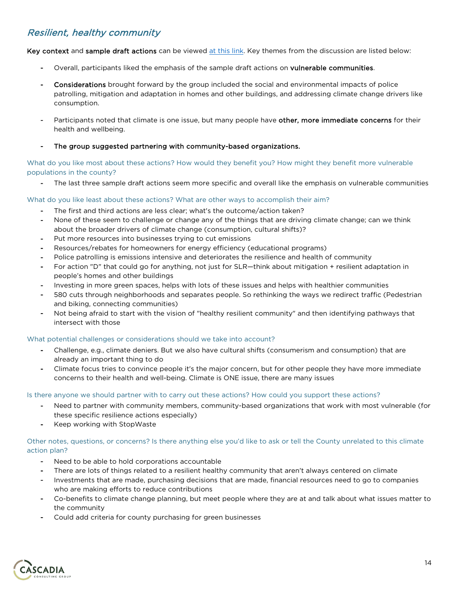## Resilient, healthy community

Key context and sample draft actions can be viewed [at this link.](https://miro.com/app/board/o9J_lir2_N0=/) Key themes from the discussion are listed below:

- Overall, participants liked the emphasis of the sample draft actions on vulnerable communities.
- Considerations brought forward by the group included the social and environmental impacts of police patrolling, mitigation and adaptation in homes and other buildings, and addressing climate change drivers like consumption.
- Participants noted that climate is one issue, but many people have other, more immediate concerns for their health and wellbeing.
- The group suggested partnering with community-based organizations.

What do you like most about these actions? How would they benefit you? How might they benefit more vulnerable populations in the county?

The last three sample draft actions seem more specific and overall like the emphasis on vulnerable communities

#### What do you like least about these actions? What are other ways to accomplish their aim?

- The first and third actions are less clear; what's the outcome/action taken?
- None of these seem to challenge or change any of the things that are driving climate change; can we think about the broader drivers of climate change (consumption, cultural shifts)?
- Put more resources into businesses trying to cut emissions
- Resources/rebates for homeowners for energy efficiency (educational programs)
- Police patrolling is emissions intensive and deteriorates the resilience and health of community
- For action "D" that could go for anything, not just for SLR—think about mitigation + resilient adaptation in people's homes and other buildings
- Investing in more green spaces, helps with lots of these issues and helps with healthier communities
- 580 cuts through neighborhoods and separates people. So rethinking the ways we redirect traffic (Pedestrian and biking, connecting communities)
- Not being afraid to start with the vision of "healthy resilient community" and then identifying pathways that intersect with those

#### What potential challenges or considerations should we take into account?

- Challenge, e.g., climate deniers. But we also have cultural shifts (consumerism and consumption) that are already an important thing to do
- Climate focus tries to convince people it's the major concern, but for other people they have more immediate concerns to their health and well-being. Climate is ONE issue, there are many issues

#### Is there anyone we should partner with to carry out these actions? How could you support these actions?

- Need to partner with community members, community-based organizations that work with most vulnerable (for these specific resilience actions especially)
- Keep working with StopWaste

#### Other notes, questions, or concerns? Is there anything else you'd like to ask or tell the County unrelated to this climate action plan?

- Need to be able to hold corporations accountable
- There are lots of things related to a resilient healthy community that aren't always centered on climate
- Investments that are made, purchasing decisions that are made, financial resources need to go to companies who are making efforts to reduce contributions
- Co-benefits to climate change planning, but meet people where they are at and talk about what issues matter to the community
- Could add criteria for county purchasing for green businesses

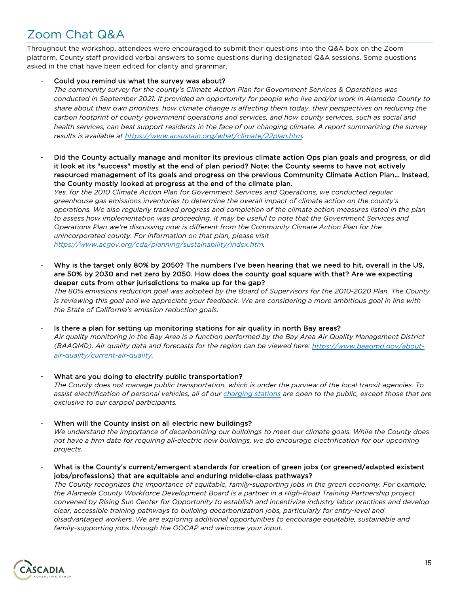# Zoom Chat Q&A

Throughout the workshop, attendees were encouraged to submit their questions into the Q&A box on the Zoom platform. County staff provided verbal answers to some questions during designated Q&A sessions. Some questions asked in the chat have been edited for clarity and grammar.

#### Could you remind us what the survey was about?

*The community survey for the county's Climate Action Plan for Government Services & Operations was conducted in September 2021. It provided an opportunity for people who live and/or work in Alameda County to share about their own priorities, how climate change is affecting them today, their perspectives on reducing the carbon footprint of county government operations and services, and how county services, such as social and health services, can best support residents in the face of our changing climate. A report summarizing the survey results is available at [https://www.acsustain.org/what/climate/22plan.htm.](https://www.acsustain.org/what/climate/22plan.htm)*

- Did the County actually manage and monitor its previous climate action Ops plan goals and progress, or did it look at its "success" mostly at the end of plan period? Note: the County seems to have not actively resourced management of its goals and progress on the previous Community Climate Action Plan... Instead, the County mostly looked at progress at the end of the climate plan.

*Yes, for the 2010 Climate Action Plan for Government Services and Operations, we conducted regular greenhouse gas emissions inventories to determine the overall impact of climate action on the county's operations. We also regularly tracked progress and completion of the climate action measures listed in the plan to assess how implementation was proceeding. It may be useful to note that the Government Services and Operations Plan we're discussing now is different from the Community Climate Action Plan for the unincorporated county. For information on that plan, please visit [https://www.acgov.org/cda/planning/sustainability/index.htm.](https://www.acgov.org/cda/planning/sustainability/index.htm)*

Why is the target only 80% by 2050? The numbers I've been hearing that we need to hit, overall in the US, are 50% by 2030 and net zero by 2050. How does the county goal square with that? Are we expecting deeper cuts from other jurisdictions to make up for the gap?

*The 80% emissions reduction goal was adopted by the Board of Supervisors for the 2010-2020 Plan. The County*  is reviewing this goal and we appreciate your feedback. We are considering a more ambitious goal in line with *the State of California's emission reduction goals.* 

Is there a plan for setting up monitoring stations for air quality in north Bay areas? *Air quality monitoring in the Bay Area is a function performed by the Bay Area Air Quality Management District (BAAQMD). Air quality data and forecasts for the region can be viewed here: [https://www.baaqmd.gov/about](https://www.baaqmd.gov/about-air-quality/current-air-quality)[air-quality/current-air-quality.](https://www.baaqmd.gov/about-air-quality/current-air-quality)* 

- What are you doing to electrify public transportation? *The County does not manage public transportation, which is under the purview of the local transit agencies. To assist electrification of personal vehicles, all of our [charging stations](https://www.acgov.org/sustain/what/transportation/evcharging.htm) are open to the public, except those that are exclusive to our carpool participants.*
- When will the County insist on all electric new buildings? *We understand the importance of decarbonizing our buildings to meet our climate goals. While the County does not have a firm date for requiring all-electric new buildings, we do encourage electrification for our upcoming projects.*
- What is the County's current/emergent standards for creation of green jobs (or greened/adapted existent jobs/professions) that are equitable and enduring middle-class pathways?

*The County recognizes the importance of equitable, family-supporting jobs in the green economy. For example, the Alameda County Workforce Development Board is a partner in a High-Road Training Partnership project convened by Rising Sun Center for Opportunity to establish and incentivize industry labor practices and develop clear, accessible training pathways to building decarbonization jobs, particularly for entry-level and disadvantaged workers. We are exploring additional opportunities to encourage equitable, sustainable and family-supporting jobs through the GOCAP and welcome your input.*

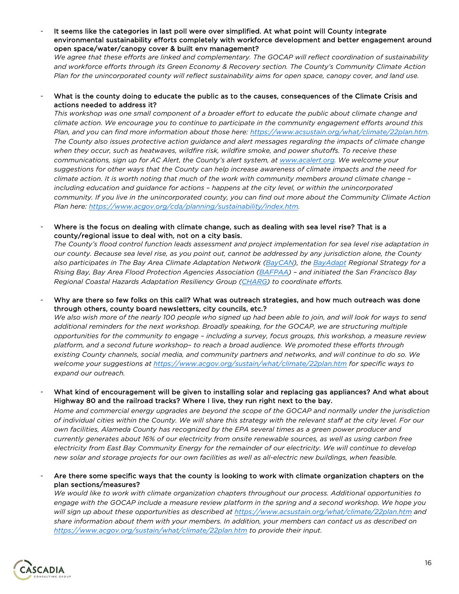It seems like the categories in last poll were over simplified. At what point will County integrate environmental sustainability efforts completely with workforce development and better engagement around open space/water/canopy cover & built env management?

*We agree that these efforts are linked and complementary. The GOCAP will reflect coordination of sustainability and workforce efforts through its Green Economy & Recovery section. The County's Community Climate Action Plan for the unincorporated county will reflect sustainability aims for open space, canopy cover, and land use.*

What is the county doing to educate the public as to the causes, consequences of the Climate Crisis and actions needed to address it?

*This workshop was one small component of a broader effort to educate the public about climate change and climate action. We encourage you to continue to participate in the community engagement efforts around this Plan, and you can find more information about those here: [https://www.acsustain.org/what/climate/22plan.htm.](https://www.acsustain.org/what/climate/22plan.htm)  The County also issues protective action guidance and alert messages regarding the impacts of climate change when they occur, such as heatwaves, wildfire risk, wildfire smoke, and power shutoffs. To receive these communications, sign up for AC Alert, the County's alert system, at [www.acalert.org.](http://www.acalert.org/) We welcome your suggestions for other ways that the County can help increase awareness of climate impacts and the need for climate action. It is worth noting that much of the work with community members around climate change – including education and guidance for actions – happens at the city level, or within the unincorporated community. If you live in the unincorporated county, you can find out more about the Community Climate Action Plan here: [https://www.acgov.org/cda/planning/sustainability/index.htm.](https://www.acgov.org/cda/planning/sustainability/index.htm)* 

Where is the focus on dealing with climate change, such as dealing with sea level rise? That is a county/regional issue to deal with, not on a city basis.

*The County's flood control function leads assessment and project implementation for sea level rise adaptation in our county. Because sea level rise, as you point out, cannot be addressed by any jurisdiction alone, the County also participates in The Bay Area Climate Adaptation Network [\(BayCAN\)](https://www.baycanadapt.org/), the [BayAdapt](https://www.bayadapt.org/) Regional Strategy for a Rising Bay, Bay Area Flood Protection Agencies Association [\(BAFPAA\)](https://bafpaa.org/) – and initiated the San Francisco Bay Regional Coastal Hazards Adaptation Resiliency Group [\(CHARG\)](https://sfbaycharg.org/) to coordinate efforts.*

Why are there so few folks on this call? What was outreach strategies, and how much outreach was done through others, county board newsletters, city councils, etc.?

*We also wish more of the nearly 100 people who signed up had been able to join, and will look for ways to send additional reminders for the next workshop. Broadly speaking, for the GOCAP, we are structuring multiple opportunities for the community to engage – including a survey, focus groups, this workshop, a measure review platform, and a second future workshop– to reach a broad audience. We promoted these efforts through existing County channels, social media, and community partners and networks, and will continue to do so. We welcome your suggestions at <https://www.acgov.org/sustain/what/climate/22plan.htm> for specific ways to expand our outreach.*

What kind of encouragement will be given to installing solar and replacing gas appliances? And what about Highway 80 and the railroad tracks? Where I live, they run right next to the bay.

*Home and commercial energy upgrades are beyond the scope of the GOCAP and normally under the jurisdiction of individual cities within the County. We will share this strategy with the relevant staff at the city level. For our own facilities, Alameda County has recognized by the EPA several times as a green power producer and currently generates about 16% of our electricity from onsite renewable sources, as well as using carbon free electricity from East Bay Community Energy for the remainder of our electricity. We will continue to develop new solar and storage projects for our own facilities as well as all-electric new buildings, when feasible.*

Are there some specific ways that the county is looking to work with climate organization chapters on the plan sections/measures?

*We would like to work with climate organization chapters throughout our process. Additional opportunities to engage with the GOCAP include a measure review platform in the spring and a second workshop. We hope you will sign up about these opportunities as described at <https://www.acsustain.org/what/climate/22plan.htm> and share information about them with your members. In addition, your members can contact us as described on <https://www.acgov.org/sustain/what/climate/22plan.htm> to provide their input.*

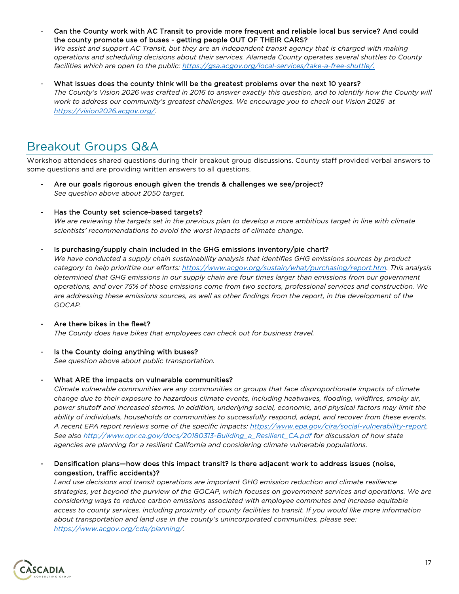- Can the County work with AC Transit to provide more frequent and reliable local bus service? And could the county promote use of buses - getting people OUT OF THEIR CARS? *We assist and support AC Transit, but they are an independent transit agency that is charged with making operations and scheduling decisions about their services. Alameda County operates several shuttles to County*
- *facilities which are open to the public: [https://gsa.acgov.org/local-services/take-a-free-shuttle/.](https://gsa.acgov.org/local-services/take-a-free-shuttle/)* What issues does the county think will be the greatest problems over the next 10 years?

*The County's Vision 2026 was crafted in 2016 to answer exactly this question, and to identify how the County will work to address our community's greatest challenges. We encourage you to check out Vision 2026 at [https://vision2026.acgov.org/.](https://vision2026.acgov.org/)*

## Breakout Groups Q&A

Workshop attendees shared questions during their breakout group discussions. County staff provided verbal answers to some questions and are providing written answers to all questions.

- Are our goals rigorous enough given the trends & challenges we see/project? *See question above about 2050 target.*
- Has the County set science-based targets?

*We are reviewing the targets set in the previous plan to develop a more ambitious target in line with climate scientists' recommendations to avoid the worst impacts of climate change.* 

Is purchasing/supply chain included in the GHG emissions inventory/pie chart?

*We have conducted a supply chain sustainability analysis that identifies GHG emissions sources by product category to help prioritize our efforts: [https://www.acgov.org/sustain/what/purchasing/report.htm.](https://www.acgov.org/sustain/what/purchasing/report.htm) This analysis determined that GHG emissions in our supply chain are four times larger than emissions from our government operations, and over 75% of those emissions come from two sectors, professional services and construction. We are addressing these emissions sources, as well as other findings from the report, in the development of the GOCAP.*

- Are there bikes in the fleet? *The County does have bikes that employees can check out for business travel.*
- Is the County doing anything with buses? *See question above about public transportation.*
- What ARE the impacts on vulnerable communities?

*Climate vulnerable communities are any communities or groups that face disproportionate impacts of climate change due to their exposure to hazardous climate events, including heatwaves, flooding, wildfires, smoky air, power shutoff and increased storms. In addition, underlying social, economic, and physical factors may limit the ability of individuals, households or communities to successfully respond, adapt, and recover from these events. A recent EPA report reviews some of the specific impacts: [https://www.epa.gov/cira/social-vulnerability-report.](https://www.epa.gov/cira/social-vulnerability-report) See also [http://www.opr.ca.gov/docs/20180313-Building\\_a\\_Resilient\\_CA.pdf](http://www.opr.ca.gov/docs/20180313-Building_a_Resilient_CA.pdf) for discussion of how state agencies are planning for a resilient California and considering climate vulnerable populations.*

Densification plans—how does this impact transit? Is there adjacent work to address issues (noise, congestion, traffic accidents)?

*Land use decisions and transit operations are important GHG emission reduction and climate resilience strategies, yet beyond the purview of the GOCAP, which focuses on government services and operations. We are considering ways to reduce carbon emissions associated with employee commutes and increase equitable access to county services, including proximity of county facilities to transit. If you would like more information about transportation and land use in the county's unincorporated communities, please see: [https://www.acgov.org/cda/planning/.](https://www.acgov.org/cda/planning/)* 

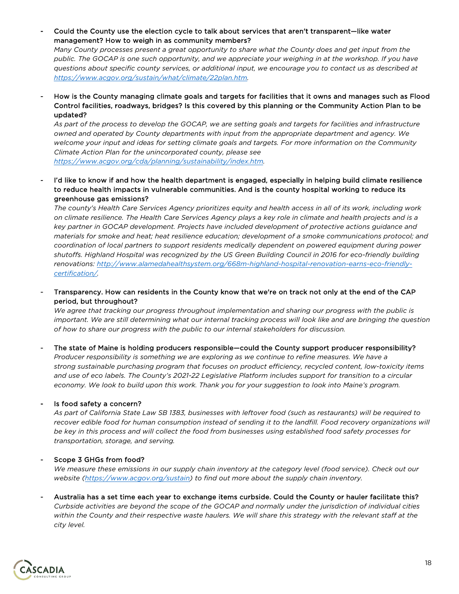- Could the County use the election cycle to talk about services that aren't transparent—like water management? How to weigh in as community members?

*Many County processes present a great opportunity to share what the County does and get input from the public. The GOCAP is one such opportunity, and we appreciate your weighing in at the workshop. If you have questions about specific county services, or additional input, we encourage you to contact us as described at [https://www.acgov.org/sustain/what/climate/22plan.htm.](https://www.acgov.org/sustain/what/climate/22plan.htm)*

- How is the County managing climate goals and targets for facilities that it owns and manages such as Flood Control facilities, roadways, bridges? Is this covered by this planning or the Community Action Plan to be updated?

*As part of the process to develop the GOCAP, we are setting goals and targets for facilities and infrastructure owned and operated by County departments with input from the appropriate department and agency. We welcome your input and ideas for setting climate goals and targets. For more information on the Community Climate Action Plan for the unincorporated county, please see [https://www.acgov.org/cda/planning/sustainability/index.htm.](https://www.acgov.org/cda/planning/sustainability/index.htm)*

I'd like to know if and how the health department is engaged, especially in helping build climate resilience to reduce health impacts in vulnerable communities. And is the county hospital working to reduce its greenhouse gas emissions?

*The county's Health Care Services Agency prioritizes equity and health access in all of its work, including work on climate resilience. The Health Care Services Agency plays a key role in climate and health projects and is a key partner in GOCAP development. Projects have included development of protective actions guidance and materials for smoke and heat; heat resilience education; development of a smoke communications protocol; and coordination of local partners to support residents medically dependent on powered equipment during power shutoffs. Highland Hospital was recognized by the US Green Building Council in 2016 for eco-friendly building renovations: [http://www.alamedahealthsystem.org/668m-highland-hospital-renovation-earns-eco-friendly](http://www.alamedahealthsystem.org/668m-highland-hospital-renovation-earns-eco-friendly-certification/)[certification/.](http://www.alamedahealthsystem.org/668m-highland-hospital-renovation-earns-eco-friendly-certification/)*

- Transparency. How can residents in the County know that we're on track not only at the end of the CAP period, but throughout?

*We agree that tracking our progress throughout implementation and sharing our progress with the public is important. We are still determining what our internal tracking process will look like and are bringing the question of how to share our progress with the public to our internal stakeholders for discussion.*

The state of Maine is holding producers responsible—could the County support producer responsibility? *Producer responsibility is something we are exploring as we continue to refine measures. We have a strong sustainable purchasing program that focuses on product efficiency, recycled content, low-toxicity items and use of eco labels. The County's 2021-22 Legislative Platform includes support for transition to a circular economy. We look to build upon this work. Thank you for your suggestion to look into Maine's program.*

#### Is food safety a concern?

*As part of California State Law SB 1383, businesses with leftover food (such as restaurants) will be required to*  recover edible food for human consumption instead of sending it to the landfill. Food recovery organizations will *be key in this process and will collect the food from businesses using established food safety processes for transportation, storage, and serving.*

#### Scope 3 GHGs from food?

*We measure these emissions in our supply chain inventory at the category level (food service). Check out our website [\(https://www.acgov.org/sustain\)](https://www.acgov.org/sustain) to find out more about the supply chain inventory.*

- Australia has a set time each year to exchange items curbside. Could the County or hauler facilitate this? *Curbside activities are beyond the scope of the GOCAP and normally under the jurisdiction of individual cities*  within the County and their respective waste haulers. We will share this strategy with the relevant staff at the *city level.*